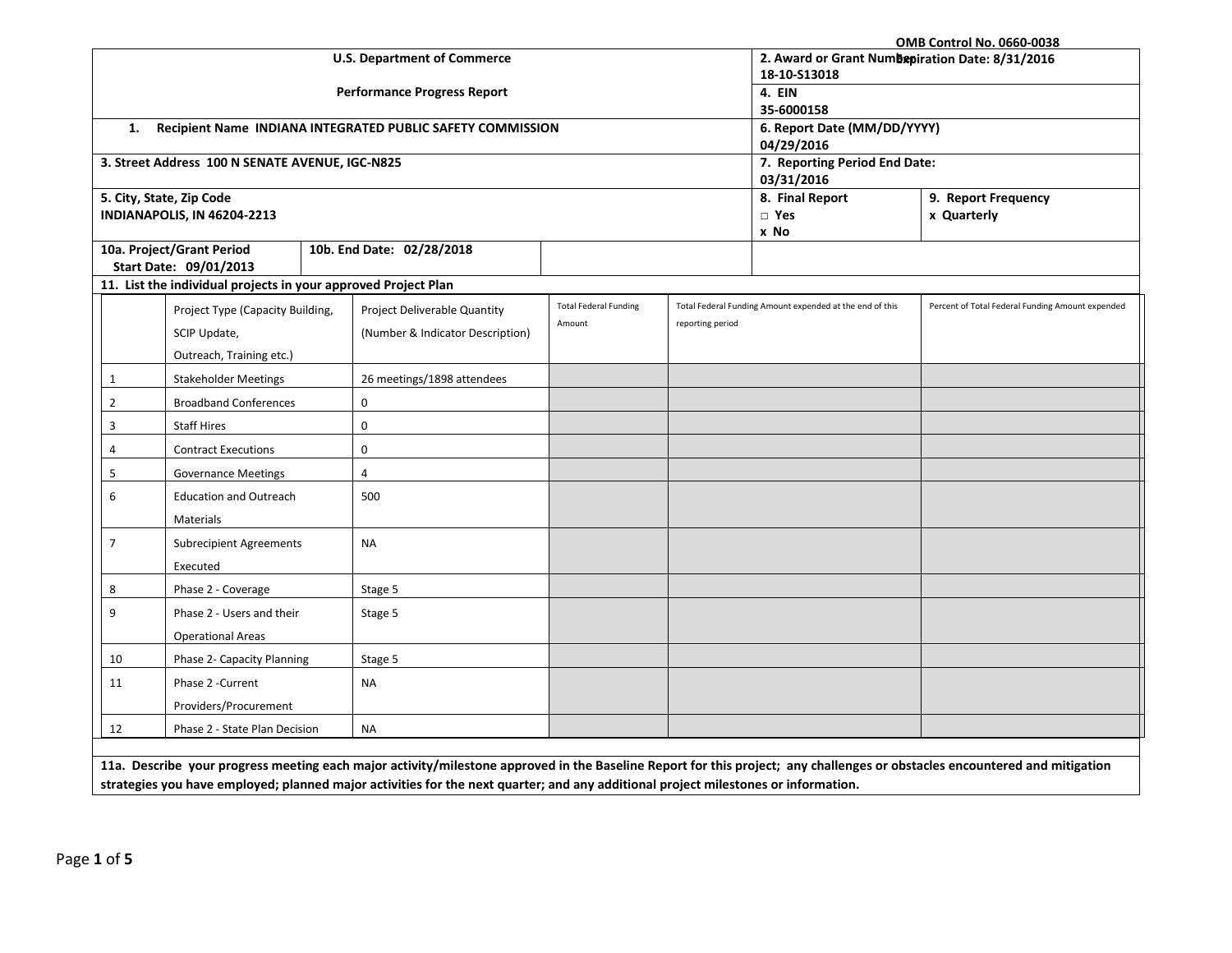| <b>OMB Control No. 0660-0038</b>                                                                                                                                           |                                                                                                                                    |                                                            |                                                 |                  |                                                          |                                                  |  |
|----------------------------------------------------------------------------------------------------------------------------------------------------------------------------|------------------------------------------------------------------------------------------------------------------------------------|------------------------------------------------------------|-------------------------------------------------|------------------|----------------------------------------------------------|--------------------------------------------------|--|
|                                                                                                                                                                            |                                                                                                                                    | <b>U.S. Department of Commerce</b>                         | 2. Award or Grant Numbepiration Date: 8/31/2016 |                  |                                                          |                                                  |  |
|                                                                                                                                                                            |                                                                                                                                    |                                                            | 18-10-S13018                                    |                  |                                                          |                                                  |  |
|                                                                                                                                                                            |                                                                                                                                    | <b>Performance Progress Report</b>                         | 4. EIN                                          |                  |                                                          |                                                  |  |
|                                                                                                                                                                            |                                                                                                                                    |                                                            |                                                 |                  | 35-6000158                                               |                                                  |  |
| 1.                                                                                                                                                                         |                                                                                                                                    | Recipient Name INDIANA INTEGRATED PUBLIC SAFETY COMMISSION |                                                 |                  | 6. Report Date (MM/DD/YYYY)                              |                                                  |  |
|                                                                                                                                                                            | 3. Street Address 100 N SENATE AVENUE, IGC-N825                                                                                    |                                                            |                                                 |                  | 04/29/2016<br>7. Reporting Period End Date:              |                                                  |  |
|                                                                                                                                                                            |                                                                                                                                    |                                                            |                                                 |                  | 03/31/2016                                               |                                                  |  |
|                                                                                                                                                                            | 5. City, State, Zip Code                                                                                                           |                                                            |                                                 |                  | 8. Final Report                                          | 9. Report Frequency                              |  |
|                                                                                                                                                                            | INDIANAPOLIS, IN 46204-2213                                                                                                        |                                                            |                                                 |                  | $\Box$ Yes                                               | x Quarterly                                      |  |
|                                                                                                                                                                            |                                                                                                                                    |                                                            |                                                 |                  | x No                                                     |                                                  |  |
|                                                                                                                                                                            | 10a. Project/Grant Period                                                                                                          | 10b. End Date: 02/28/2018                                  |                                                 |                  |                                                          |                                                  |  |
|                                                                                                                                                                            | Start Date: 09/01/2013                                                                                                             |                                                            |                                                 |                  |                                                          |                                                  |  |
|                                                                                                                                                                            | 11. List the individual projects in your approved Project Plan                                                                     |                                                            |                                                 |                  |                                                          |                                                  |  |
|                                                                                                                                                                            | Project Type (Capacity Building,                                                                                                   | Project Deliverable Quantity                               | <b>Total Federal Funding</b>                    |                  | Total Federal Funding Amount expended at the end of this | Percent of Total Federal Funding Amount expended |  |
|                                                                                                                                                                            | SCIP Update,                                                                                                                       | (Number & Indicator Description)                           | Amount                                          | reporting period |                                                          |                                                  |  |
|                                                                                                                                                                            | Outreach, Training etc.)                                                                                                           |                                                            |                                                 |                  |                                                          |                                                  |  |
| $\mathbf{1}$                                                                                                                                                               | <b>Stakeholder Meetings</b>                                                                                                        | 26 meetings/1898 attendees                                 |                                                 |                  |                                                          |                                                  |  |
| $\overline{2}$                                                                                                                                                             | <b>Broadband Conferences</b>                                                                                                       | 0                                                          |                                                 |                  |                                                          |                                                  |  |
| 3                                                                                                                                                                          | <b>Staff Hires</b>                                                                                                                 | 0                                                          |                                                 |                  |                                                          |                                                  |  |
| 4                                                                                                                                                                          | <b>Contract Executions</b>                                                                                                         | 0                                                          |                                                 |                  |                                                          |                                                  |  |
| 5                                                                                                                                                                          | <b>Governance Meetings</b>                                                                                                         | 4                                                          |                                                 |                  |                                                          |                                                  |  |
| 6                                                                                                                                                                          | <b>Education and Outreach</b>                                                                                                      | 500                                                        |                                                 |                  |                                                          |                                                  |  |
|                                                                                                                                                                            | Materials                                                                                                                          |                                                            |                                                 |                  |                                                          |                                                  |  |
| $\overline{7}$                                                                                                                                                             | <b>Subrecipient Agreements</b>                                                                                                     | <b>NA</b>                                                  |                                                 |                  |                                                          |                                                  |  |
|                                                                                                                                                                            | Executed                                                                                                                           |                                                            |                                                 |                  |                                                          |                                                  |  |
| 8                                                                                                                                                                          | Phase 2 - Coverage                                                                                                                 | Stage 5                                                    |                                                 |                  |                                                          |                                                  |  |
| 9                                                                                                                                                                          | Phase 2 - Users and their                                                                                                          | Stage 5                                                    |                                                 |                  |                                                          |                                                  |  |
|                                                                                                                                                                            | <b>Operational Areas</b>                                                                                                           |                                                            |                                                 |                  |                                                          |                                                  |  |
| 10                                                                                                                                                                         | Phase 2- Capacity Planning                                                                                                         | Stage 5                                                    |                                                 |                  |                                                          |                                                  |  |
| 11                                                                                                                                                                         | Phase 2 - Current                                                                                                                  | <b>NA</b>                                                  |                                                 |                  |                                                          |                                                  |  |
|                                                                                                                                                                            | Providers/Procurement                                                                                                              |                                                            |                                                 |                  |                                                          |                                                  |  |
| 12                                                                                                                                                                         | Phase 2 - State Plan Decision                                                                                                      | <b>NA</b>                                                  |                                                 |                  |                                                          |                                                  |  |
|                                                                                                                                                                            |                                                                                                                                    |                                                            |                                                 |                  |                                                          |                                                  |  |
| 11a. Describe your progress meeting each major activity/milestone approved in the Baseline Report for this project; any challenges or obstacles encountered and mitigation |                                                                                                                                    |                                                            |                                                 |                  |                                                          |                                                  |  |
|                                                                                                                                                                            | strategies you have employed; planned major activities for the next quarter; and any additional project milestones or information. |                                                            |                                                 |                  |                                                          |                                                  |  |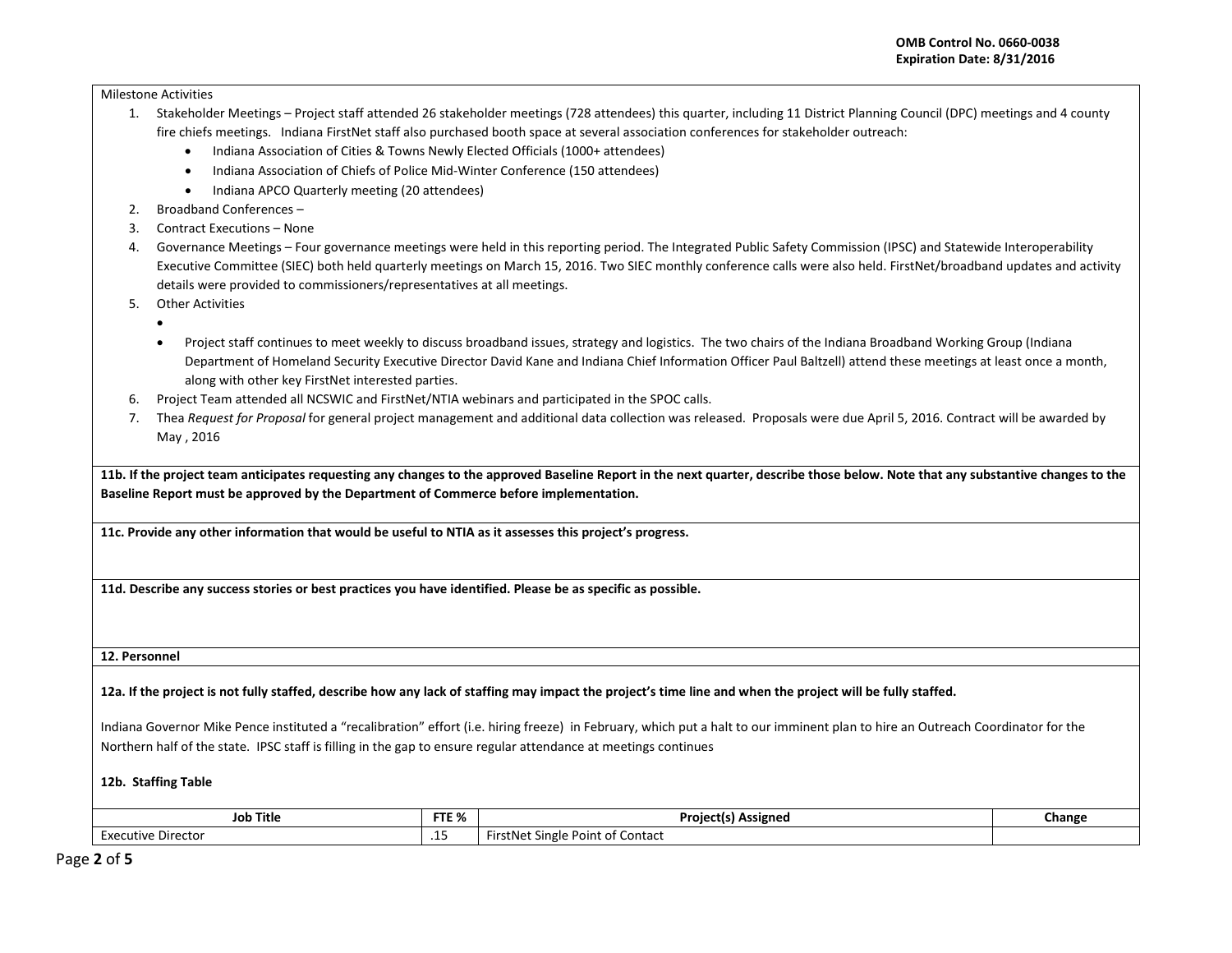Milestone Activities

- 1. Stakeholder Meetings Project staff attended 26 stakeholder meetings (728 attendees) this quarter, including 11 District Planning Council (DPC) meetings and 4 county fire chiefs meetings. Indiana FirstNet staff also purchased booth space at several association conferences for stakeholder outreach:
	- Indiana Association of Cities & Towns Newly Elected Officials (1000+ attendees)
	- Indiana Association of Chiefs of Police Mid-Winter Conference (150 attendees)
	- Indiana APCO Quarterly meeting (20 attendees)
- 2. Broadband Conferences –
- 3. Contract Executions None
- 4. Governance Meetings Four governance meetings were held in this reporting period. The Integrated Public Safety Commission (IPSC) and Statewide Interoperability Executive Committee (SIEC) both held quarterly meetings on March 15, 2016. Two SIEC monthly conference calls were also held. FirstNet/broadband updates and activity details were provided to commissioners/representatives at all meetings.
- 5. Other Activities
	- •
	- Project staff continues to meet weekly to discuss broadband issues, strategy and logistics. The two chairs of the Indiana Broadband Working Group (Indiana Department of Homeland Security Executive Director David Kane and Indiana Chief Information Officer Paul Baltzell) attend these meetings at least once a month, along with other key FirstNet interested parties.
- 6. Project Team attended all NCSWIC and FirstNet/NTIA webinars and participated in the SPOC calls.
- 7. Thea *Request for Proposal* for general project management and additional data collection was released. Proposals were due April 5, 2016. Contract will be awarded by May , 2016

**11b. If the project team anticipates requesting any changes to the approved Baseline Report in the next quarter, describe those below. Note that any substantive changes to the Baseline Report must be approved by the Department of Commerce before implementation.** 

**11c. Provide any other information that would be useful to NTIA as it assesses this project's progress.** 

**11d. Describe any success stories or best practices you have identified. Please be as specific as possible.**

**12. Personnel** 

**12a. If the project is not fully staffed, describe how any lack of staffing may impact the project's time line and when the project will be fully staffed.** 

Indiana Governor Mike Pence instituted a "recalibration" effort (i.e. hiring freeze) in February, which put a halt to our imminent plan to hire an Outreach Coordinator for the Northern half of the state. IPSC staff is filling in the gap to ensure regular attendance at meetings continues

**12b. Staffing Table**

| Job Title          | FTE % | <b>Project(s) Assigned</b>                                                         | Change |
|--------------------|-------|------------------------------------------------------------------------------------|--------|
| Executive Director |       | $\mathbf{D}$<br><sup>.</sup> of Contact<br>. Single i<br>First Nei<br>v<br>oint of |        |

Page **2** of **5**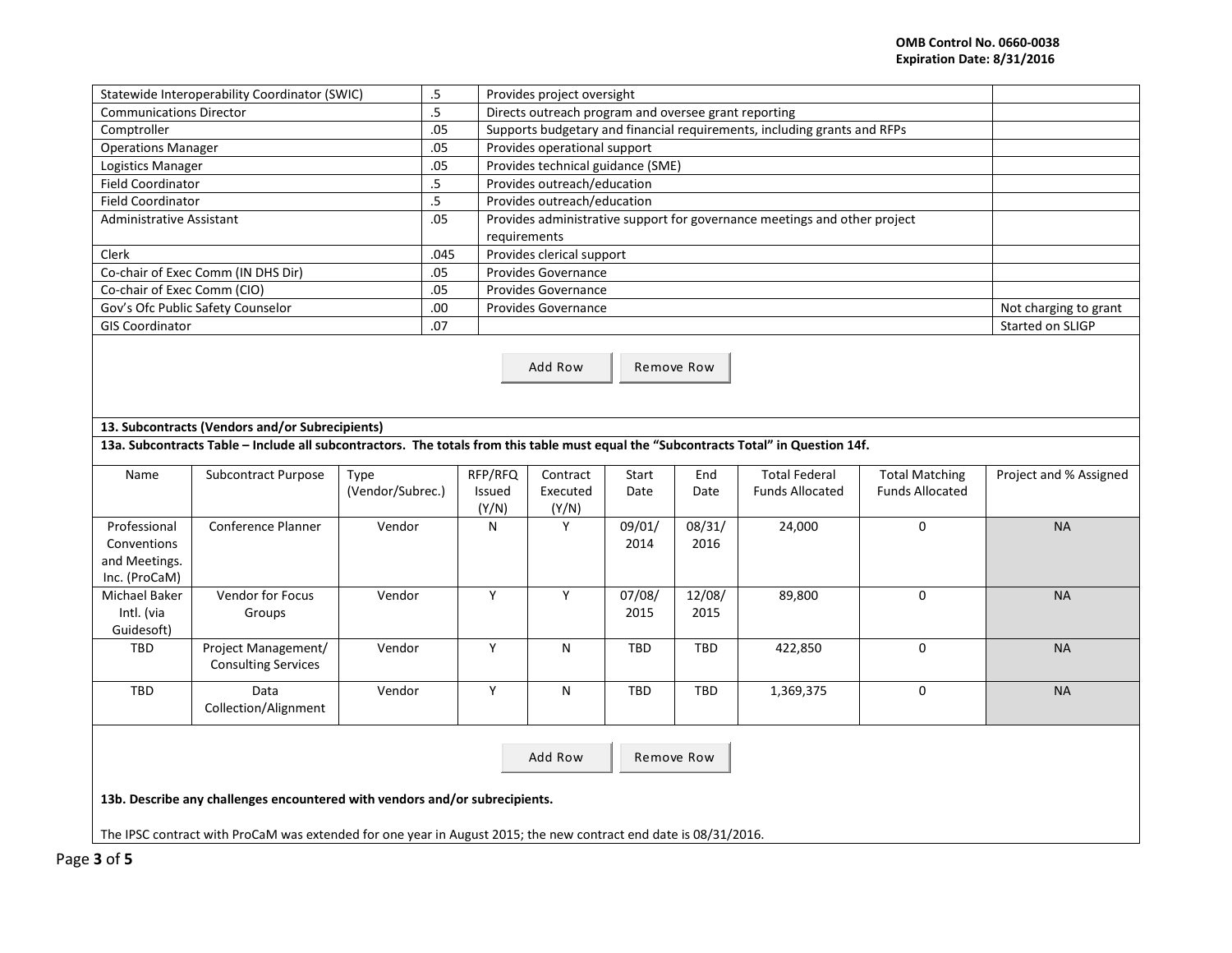| Statewide Interoperability Coordinator (SWIC) | .5   | Provides project oversight                                                |                       |
|-----------------------------------------------|------|---------------------------------------------------------------------------|-----------------------|
| <b>Communications Director</b>                | .5   | Directs outreach program and oversee grant reporting                      |                       |
| Comptroller                                   | .05  | Supports budgetary and financial requirements, including grants and RFPs  |                       |
| <b>Operations Manager</b>                     | .05  | Provides operational support                                              |                       |
| Logistics Manager                             | .05  | Provides technical guidance (SME)                                         |                       |
| <b>Field Coordinator</b>                      | . כ  | Provides outreach/education                                               |                       |
| <b>Field Coordinator</b>                      | .5   | Provides outreach/education                                               |                       |
| Administrative Assistant                      | .05  | Provides administrative support for governance meetings and other project |                       |
|                                               |      | requirements                                                              |                       |
| Clerk                                         | .045 | Provides clerical support                                                 |                       |
| Co-chair of Exec Comm (IN DHS Dir)            | .05  | <b>Provides Governance</b>                                                |                       |
| Co-chair of Exec Comm (CIO)                   | .05  | <b>Provides Governance</b>                                                |                       |
| Gov's Ofc Public Safety Counselor             | .00  | <b>Provides Governance</b>                                                | Not charging to grant |
| <b>GIS Coordinator</b>                        | .07  |                                                                           | Started on SLIGP      |
|                                               |      |                                                                           |                       |

Add Row | Remove Row

## **13. Subcontracts (Vendors and/or Subrecipients)**

## **13a. Subcontracts Table – Include all subcontractors. The totals from this table must equal the "Subcontracts Total" in Question 14f.**

| Name          | <b>Subcontract Purpose</b> | Type             | RFP/RFQ       | Contract | Start  | End        | <b>Total Federal</b>   | <b>Total Matching</b>  | Project and % Assigned |
|---------------|----------------------------|------------------|---------------|----------|--------|------------|------------------------|------------------------|------------------------|
|               |                            | (Vendor/Subrec.) | <b>Issued</b> | Executed | Date   | Date       | <b>Funds Allocated</b> | <b>Funds Allocated</b> |                        |
|               |                            |                  | (Y/N)         | (Y/N)    |        |            |                        |                        |                        |
| Professional  | Conference Planner         | Vendor           | N             | γ        | 09/01/ | 08/31/     | 24,000                 | $\mathbf 0$            | <b>NA</b>              |
| Conventions   |                            |                  |               |          | 2014   | 2016       |                        |                        |                        |
| and Meetings. |                            |                  |               |          |        |            |                        |                        |                        |
| Inc. (ProCaM) |                            |                  |               |          |        |            |                        |                        |                        |
| Michael Baker | Vendor for Focus           | Vendor           | $\mathsf{v}$  | Υ        | 07/08/ | 12/08/     | 89,800                 | 0                      | <b>NA</b>              |
| Intl. (via    | Groups                     |                  |               |          | 2015   | 2015       |                        |                        |                        |
| Guidesoft)    |                            |                  |               |          |        |            |                        |                        |                        |
| TBD           | Project Management/        | Vendor           | Y             | N        | TBD    | <b>TBD</b> | 422,850                | 0                      | <b>NA</b>              |
|               | <b>Consulting Services</b> |                  |               |          |        |            |                        |                        |                        |
| TBD           | Data                       | Vendor           | $\checkmark$  | N        | TBD    | <b>TBD</b> | 1,369,375              | $\Omega$               | <b>NA</b>              |
|               | Collection/Alignment       |                  |               |          |        |            |                        |                        |                        |
|               |                            |                  |               |          |        |            |                        |                        |                        |

Add Row Remove Row

**13b. Describe any challenges encountered with vendors and/or subrecipients.** 

The IPSC contract with ProCaM was extended for one year in August 2015; the new contract end date is 08/31/2016.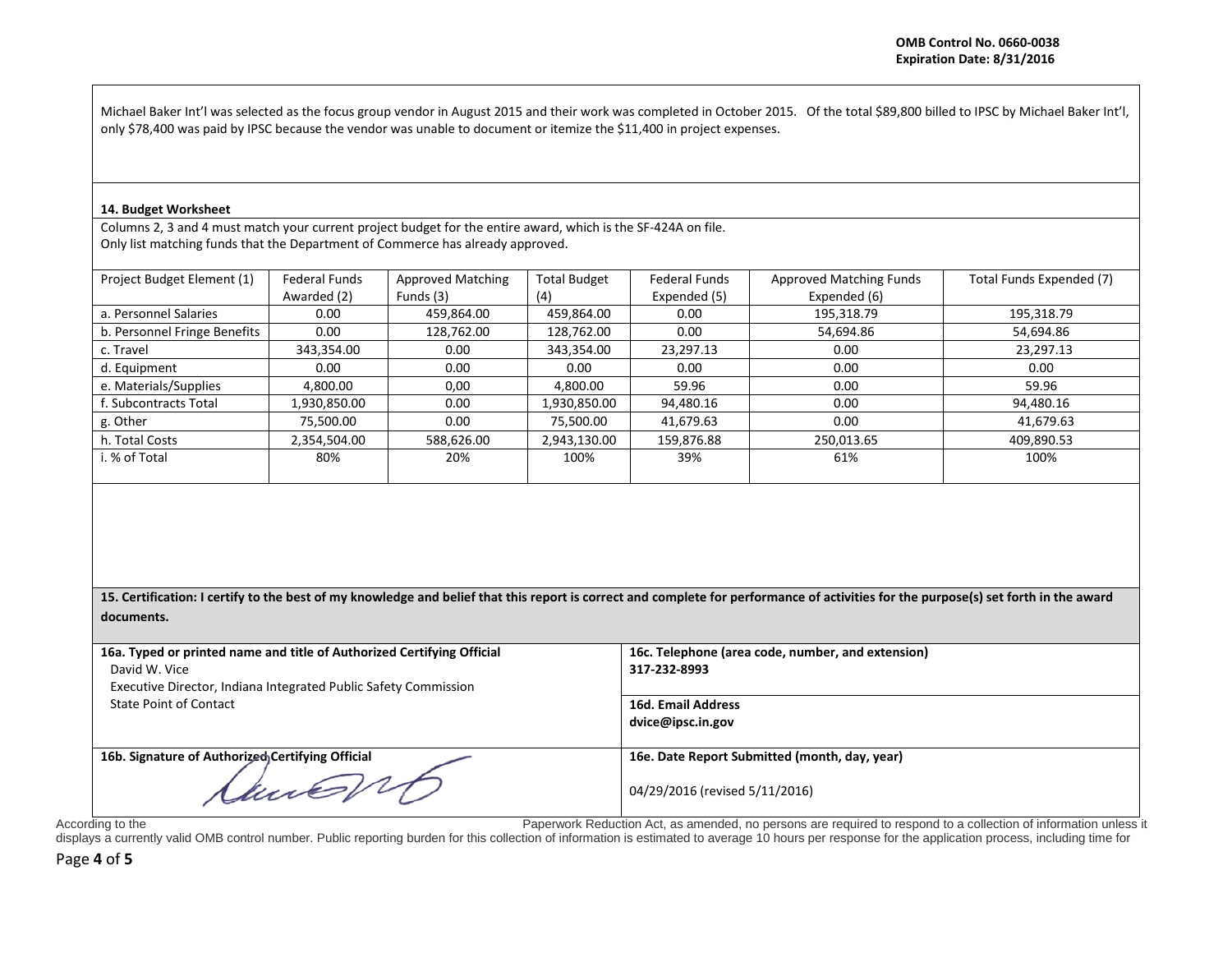Michael Baker Int'l was selected as the focus group vendor in August 2015 and their work was completed in October 2015. Of the total \$89,800 billed to IPSC by Michael Baker Int'l, only \$78,400 was paid by IPSC because the vendor was unable to document or itemize the \$11,400 in project expenses.

## **14. Budget Worksheet**

Columns 2, 3 and 4 must match your current project budget for the entire award, which is the SF-424A on file. Only list matching funds that the Department of Commerce has already approved.

| Project Budget Element (1)   | <b>Federal Funds</b> | <b>Approved Matching</b> | <b>Total Budget</b> | <b>Federal Funds</b> | <b>Approved Matching Funds</b> | Total Funds Expended (7) |
|------------------------------|----------------------|--------------------------|---------------------|----------------------|--------------------------------|--------------------------|
|                              | Awarded (2)          | Funds (3)                | (4)                 | Expended (5)         | Expended (6)                   |                          |
| a. Personnel Salaries        | 0.00                 | 459,864.00               | 459,864.00          | 0.00                 | 195,318.79                     | 195,318.79               |
| b. Personnel Fringe Benefits | 0.00                 | 128,762.00               | 128,762.00          | 0.00                 | 54,694.86                      | 54,694.86                |
| c. Travel                    | 343,354.00           | 0.00                     | 343,354.00          | 23,297.13            | 0.00                           | 23,297.13                |
| d. Equipment                 | 0.00                 | 0.00                     | 0.00                | 0.00                 | 0.00                           | 0.00                     |
| e. Materials/Supplies        | 4,800.00             | 0,00                     | 4,800.00            | 59.96                | 0.00                           | 59.96                    |
| . Subcontracts Total         | 1,930,850.00         | 0.00                     | 1,930,850.00        | 94,480.16            | 0.00                           | 94,480.16                |
| g. Other                     | 75.500.00            | 0.00                     | 75.500.00           | 41,679.63            | 0.00                           | 41,679.63                |
| h. Total Costs               | 2,354,504.00         | 588,626.00               | 2,943,130.00        | 159,876.88           | 250,013.65                     | 409,890.53               |
| i. % of Total                | 80%                  | 20%                      | 100%                | 39%                  | 61%                            | 100%                     |
|                              |                      |                          |                     |                      |                                |                          |

**15. Certification: I certify to the best of my knowledge and belief that this report is correct and complete for performance of activities for the purpose(s) set forth in the award documents.**

| 16a. Typed or printed name and title of Authorized Certifying Official | 16c. Telephone (area code, number, and extension) |
|------------------------------------------------------------------------|---------------------------------------------------|
| David W. Vice                                                          | 317-232-8993                                      |
| Executive Director, Indiana Integrated Public Safety Commission        |                                                   |
| State Point of Contact                                                 | <b>16d. Email Address</b>                         |
|                                                                        | dvice@ipsc.in.gov                                 |
|                                                                        |                                                   |
| 16b. Signature of Authorized Certifying Official                       | 16e. Date Report Submitted (month, day, year)     |
| Nune 11,                                                               | 04/29/2016 (revised 5/11/2016)                    |

According to the **Paperwork Reduction Act, as amended, no persons are required to respond to a collection of information unless it** 

displays a currently valid OMB control number. Public reporting burden for this collection of information is estimated to average 10 hours per response for the application process, including time for